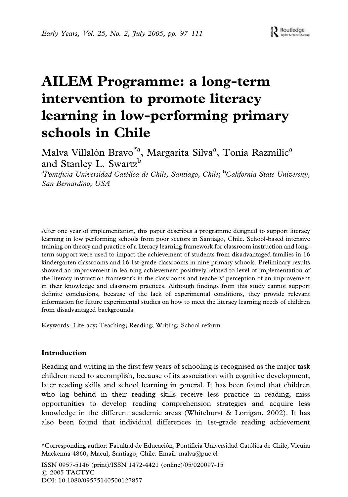# AILEM Programme: a long-term intervention to promote literacy learning in low-performing primary schools in Chile

Malva Villalón Bravo<sup>\*a</sup>, Margarita Silva<sup>a</sup>, Tonia Razmilic<sup>a</sup> and Stanley L. Swartz

<sup>a</sup> Pontificia Universidad Católica de Chile, Santiago, Chile; <sup>b</sup>California State University, San Bernardino, USA

After one year of implementation, this paper describes a programme designed to support literacy learning in low performing schools from poor sectors in Santiago, Chile. School-based intensive training on theory and practice of a literacy learning framework for classroom instruction and longterm support were used to impact the achievement of students from disadvantaged families in 16 kindergarten classrooms and 16 1st-grade classrooms in nine primary schools. Preliminary results showed an improvement in learning achievement positively related to level of implementation of the literacy instruction framework in the classrooms and teachers' perception of an improvement in their knowledge and classroom practices. Although findings from this study cannot support definite conclusions, because of the lack of experimental conditions, they provide relevant information for future experimental studies on how to meet the literacy learning needs of children from disadvantaged backgrounds.

Keywords: Literacy; Teaching; Reading; Writing; School reform

### Introduction

Reading and writing in the first few years of schooling is recognised as the major task children need to accomplish, because of its association with cognitive development, later reading skills and school learning in general. It has been found that children who lag behind in their reading skills receive less practice in reading, miss opportunities to develop reading comprehension strategies and acquire less knowledge in the different academic areas (Whitehurst & Lonigan, 2002). It has also been found that individual differences in 1st-grade reading achievement

<sup>\*</sup>Corresponding author: Facultad de Educación, Pontificia Universidad Católica de Chile, Vicuña Mackenna 4860, Macul, Santiago, Chile. Email: malva@puc.cl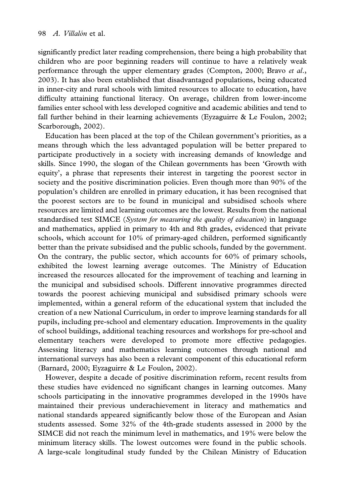significantly predict later reading comprehension, there being a high probability that children who are poor beginning readers will continue to have a relatively weak performance through the upper elementary grades (Compton, 2000; Bravo et al., 2003). It has also been established that disadvantaged populations, being educated in inner-city and rural schools with limited resources to allocate to education, have difficulty attaining functional literacy. On average, children from lower-income families enter school with less developed cognitive and academic abilities and tend to fall further behind in their learning achievements (Eyzaguirre & Le Foulon, 2002; Scarborough, 2002).

Education has been placed at the top of the Chilean government's priorities, as a means through which the less advantaged population will be better prepared to participate productively in a society with increasing demands of knowledge and skills. Since 1990, the slogan of the Chilean governments has been 'Growth with equity', a phrase that represents their interest in targeting the poorest sector in society and the positive discrimination policies. Even though more than 90% of the population's children are enrolled in primary education, it has been recognised that the poorest sectors are to be found in municipal and subsidised schools where resources are limited and learning outcomes are the lowest. Results from the national standardised test SIMCE (System for measuring the quality of education) in language and mathematics, applied in primary to 4th and 8th grades, evidenced that private schools, which account for 10% of primary-aged children, performed significantly better than the private subsidised and the public schools, funded by the government. On the contrary, the public sector, which accounts for 60% of primary schools, exhibited the lowest learning average outcomes. The Ministry of Education increased the resources allocated for the improvement of teaching and learning in the municipal and subsidised schools. Different innovative programmes directed towards the poorest achieving municipal and subsidised primary schools were implemented, within a general reform of the educational system that included the creation of a new National Curriculum, in order to improve learning standards for all pupils, including pre-school and elementary education. Improvements in the quality of school buildings, additional teaching resources and workshops for pre-school and elementary teachers were developed to promote more effective pedagogies. Assessing literacy and mathematics learning outcomes through national and international surveys has also been a relevant component of this educational reform (Barnard, 2000; Eyzaguirre & Le Foulon, 2002).

However, despite a decade of positive discrimination reform, recent results from these studies have evidenced no significant changes in learning outcomes. Many schools participating in the innovative programmes developed in the 1990s have maintained their previous underachievement in literacy and mathematics and national standards appeared significantly below those of the European and Asian students assessed. Some 32% of the 4th-grade students assessed in 2000 by the SIMCE did not reach the minimum level in mathematics, and 19% were below the minimum literacy skills. The lowest outcomes were found in the public schools. A large-scale longitudinal study funded by the Chilean Ministry of Education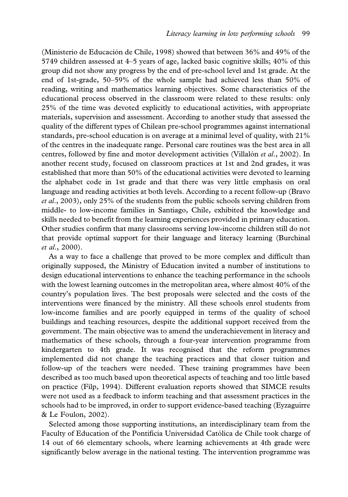(Ministerio de Educación de Chile, 1998) showed that between 36% and 49% of the 5749 children assessed at 4–5 years of age, lacked basic cognitive skills; 40% of this group did not show any progress by the end of pre-school level and 1st grade. At the end of 1st-grade, 50–59% of the whole sample had achieved less than 50% of reading, writing and mathematics learning objectives. Some characteristics of the educational process observed in the classroom were related to these results: only 25% of the time was devoted explicitly to educational activities, with appropriate materials, supervision and assessment. According to another study that assessed the quality of the different types of Chilean pre-school programmes against international standards, pre-school education is on average at a minimal level of quality, with 21% of the centres in the inadequate range. Personal care routines was the best area in all centres, followed by fine and motor development activities (Villalón *et al.*, 2002). In another recent study, focused on classroom practices at 1st and 2nd grades, it was established that more than 50% of the educational activities were devoted to learning the alphabet code in 1st grade and that there was very little emphasis on oral language and reading activities at both levels. According to a recent follow-up (Bravo et al., 2003), only 25% of the students from the public schools serving children from middle- to low-income families in Santiago, Chile, exhibited the knowledge and skills needed to benefit from the learning experiences provided in primary education. Other studies confirm that many classrooms serving low-income children still do not that provide optimal support for their language and literacy learning (Burchinal et al., 2000).

As a way to face a challenge that proved to be more complex and difficult than originally supposed, the Ministry of Education invited a number of institutions to design educational interventions to enhance the teaching performance in the schools with the lowest learning outcomes in the metropolitan area, where almost 40% of the country's population lives. The best proposals were selected and the costs of the interventions were financed by the ministry. All these schools enrol students from low-income families and are poorly equipped in terms of the quality of school buildings and teaching resources, despite the additional support received from the government. The main objective was to amend the underachievement in literacy and mathematics of these schools, through a four-year intervention programme from kindergarten to 4th grade. It was recognised that the reform programmes implemented did not change the teaching practices and that closer tuition and follow-up of the teachers were needed. These training programmes have been described as too much based upon theoretical aspects of teaching and too little based on practice (Filp, 1994). Different evaluation reports showed that SIMCE results were not used as a feedback to inform teaching and that assessment practices in the schools had to be improved, in order to support evidence-based teaching (Eyzaguirre & Le Foulon, 2002).

Selected among those supporting institutions, an interdisciplinary team from the Faculty of Education of the Pontificia Universidad Católica de Chile took charge of 14 out of 66 elementary schools, where learning achievements at 4th grade were significantly below average in the national testing. The intervention programme was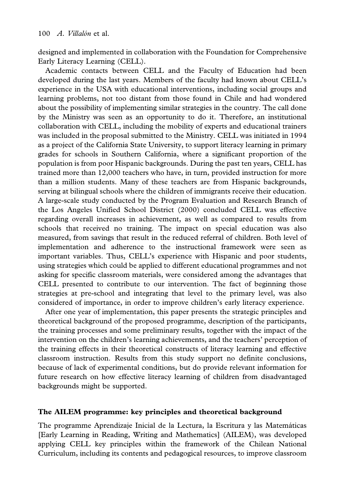designed and implemented in collaboration with the Foundation for Comprehensive Early Literacy Learning (CELL).

Academic contacts between CELL and the Faculty of Education had been developed during the last years. Members of the faculty had known about CELL's experience in the USA with educational interventions, including social groups and learning problems, not too distant from those found in Chile and had wondered about the possibility of implementing similar strategies in the country. The call done by the Ministry was seen as an opportunity to do it. Therefore, an institutional collaboration with CELL, including the mobility of experts and educational trainers was included in the proposal submitted to the Ministry. CELL was initiated in 1994 as a project of the California State University, to support literacy learning in primary grades for schools in Southern California, where a significant proportion of the population is from poor Hispanic backgrounds. During the past ten years, CELL has trained more than 12,000 teachers who have, in turn, provided instruction for more than a million students. Many of these teachers are from Hispanic backgrounds, serving at bilingual schools where the children of immigrants receive their education. A large-scale study conducted by the Program Evaluation and Research Branch of the Los Angeles Unified School District (2000) concluded CELL was effective regarding overall increases in achievement, as well as compared to results from schools that received no training. The impact on special education was also measured, from savings that result in the reduced referral of children. Both level of implementation and adherence to the instructional framework were seen as important variables. Thus, CELL's experience with Hispanic and poor students, using strategies which could be applied to different educational programmes and not asking for specific classroom materials, were considered among the advantages that CELL presented to contribute to our intervention. The fact of beginning those strategies at pre-school and integrating that level to the primary level, was also considered of importance, in order to improve children's early literacy experience.

After one year of implementation, this paper presents the strategic principles and theoretical background of the proposed programme, description of the participants, the training processes and some preliminary results, together with the impact of the intervention on the children's learning achievements, and the teachers' perception of the training effects in their theoretical constructs of literacy learning and effective classroom instruction. Results from this study support no definite conclusions, because of lack of experimental conditions, but do provide relevant information for future research on how effective literacy learning of children from disadvantaged backgrounds might be supported.

#### The AILEM programme: key principles and theoretical background

The programme Aprendizaje Inicial de la Lectura, la Escritura y las Matemáticas [Early Learning in Reading, Writing and Mathematics] (AILEM), was developed applying CELL key principles within the framework of the Chilean National Curriculum, including its contents and pedagogical resources, to improve classroom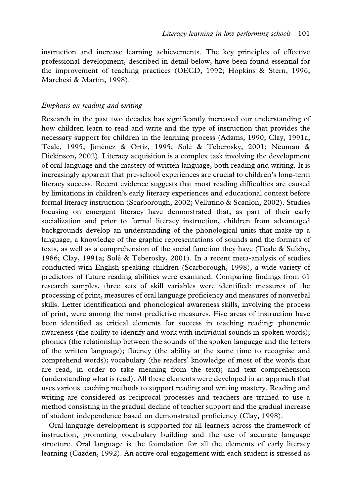instruction and increase learning achievements. The key principles of effective professional development, described in detail below, have been found essential for the improvement of teaching practices (OECD, 1992; Hopkins & Stern, 1996; Marchesi & Martín, 1998).

#### Emphasis on reading and writing

Research in the past two decades has significantly increased our understanding of how children learn to read and write and the type of instruction that provides the necessary support for children in the learning process (Adams, 1990; Clay, 1991a; Teale, 1995; Jiménez & Ortiz, 1995; Solé & Teberosky, 2001; Neuman & Dickinson, 2002). Literacy acquisition is a complex task involving the development of oral language and the mastery of written language, both reading and writing. It is increasingly apparent that pre-school experiences are crucial to children's long-term literacy success. Recent evidence suggests that most reading difficulties are caused by limitations in children's early literacy experiences and educational context before formal literacy instruction (Scarborough, 2002; Vellutino & Scanlon, 2002). Studies focusing on emergent literacy have demonstrated that, as part of their early socialization and prior to formal literacy instruction, children from advantaged backgrounds develop an understanding of the phonological units that make up a language, a knowledge of the graphic representations of sounds and the formats of texts, as well as a comprehension of the social function they have (Teale & Sulzby, 1986; Clay, 1991a; Solé & Teberosky, 2001). In a recent meta-analysis of studies conducted with English-speaking children (Scarborough, 1998), a wide variety of predictors of future reading abilities were examined. Comparing findings from 61 research samples, three sets of skill variables were identified: measures of the processing of print, measures of oral language proficiency and measures of nonverbal skills. Letter identification and phonological awareness skills, involving the process of print, were among the most predictive measures. Five areas of instruction have been identified as critical elements for success in teaching reading: phonemic awareness (the ability to identify and work with individual sounds in spoken words); phonics (the relationship between the sounds of the spoken language and the letters of the written language); fluency (the ability at the same time to recognise and comprehend words); vocabulary (the readers' knowledge of most of the words that are read, in order to take meaning from the text); and text comprehension (understanding what is read). All these elements were developed in an approach that uses various teaching methods to support reading and writing mastery. Reading and writing are considered as reciprocal processes and teachers are trained to use a method consisting in the gradual decline of teacher support and the gradual increase of student independence based on demonstrated proficiency (Clay, 1998).

Oral language development is supported for all learners across the framework of instruction, promoting vocabulary building and the use of accurate language structure. Oral language is the foundation for all the elements of early literacy learning (Cazden, 1992). An active oral engagement with each student is stressed as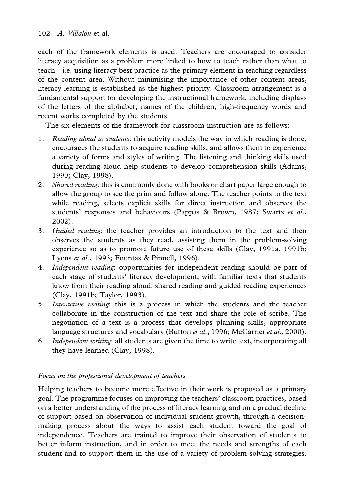each of the framework elements is used. Teachers are encouraged to consider literacy acquisition as a problem more linked to how to teach rather than what to teach—i.e. using literacy best practice as the primary element in teaching regardless of the content area. Without minimising the importance of other content areas, literacy learning is established as the highest priority. Classroom arrangement is a fundamental support for developing the instructional framework, including displays of the letters of the alphabet, names of the children, high-frequency words and recent works completed by the students.

The six elements of the framework for classroom instruction are as follows:

- 1. Reading aloud to students: this activity models the way in which reading is done, encourages the students to acquire reading skills, and allows them to experience a variety of forms and styles of writing. The listening and thinking skills used during reading aloud help students to develop comprehension skills (Adams, 1990; Clay, 1998).
- 2. Shared reading: this is commonly done with books or chart paper large enough to allow the group to see the print and follow along. The teacher points to the text while reading, selects explicit skills for direct instruction and observes the students' responses and behaviours (Pappas & Brown, 1987; Swartz et al., 2002).
- 3. Guided reading: the teacher provides an introduction to the text and then observes the students as they read, assisting them in the problem-solving experience so as to promote future use of these skills (Clay, 1991a, 1991b; Lyons et al., 1993; Fountas & Pinnell, 1996).
- 4. Independent reading: opportunities for independent reading should be part of each stage of students' literacy development, with familiar texts that students know from their reading aloud, shared reading and guided reading experiences (Clay, 1991b; Taylor, 1993).
- 5. Interactive writing: this is a process in which the students and the teacher collaborate in the construction of the text and share the role of scribe. The negotiation of a text is a process that develops planning skills, appropriate language structures and vocabulary (Button et al., 1996; McCarrier et al., 2000).
- 6. Independent writing: all students are given the time to write text, incorporating all they have learned (Clay, 1998).

## Focus on the professional development of teachers

Helping teachers to become more effective in their work is proposed as a primary goal. The programme focuses on improving the teachers' classroom practices, based on a better understanding of the process of literacy learning and on a gradual decline of support based on observation of individual student growth, through a decisionmaking process about the ways to assist each student toward the goal of independence. Teachers are trained to improve their observation of students to better inform instruction, and in order to meet the needs and strengths of each student and to support them in the use of a variety of problem-solving strategies.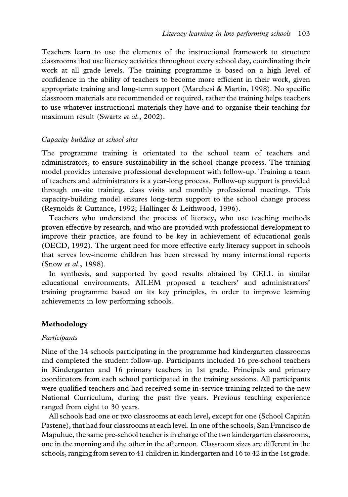Teachers learn to use the elements of the instructional framework to structure classrooms that use literacy activities throughout every school day, coordinating their work at all grade levels. The training programme is based on a high level of confidence in the ability of teachers to become more efficient in their work, given appropriate training and long-term support (Marchesi & Martín, 1998). No specific classroom materials are recommended or required, rather the training helps teachers to use whatever instructional materials they have and to organise their teaching for maximum result (Swartz et al., 2002).

#### Capacity building at school sites

The programme training is orientated to the school team of teachers and administrators, to ensure sustainability in the school change process. The training model provides intensive professional development with follow-up. Training a team of teachers and administrators is a year-long process. Follow-up support is provided through on-site training, class visits and monthly professional meetings. This capacity-building model ensures long-term support to the school change process (Reynolds & Cuttance, 1992; Hallinger & Leithwood, 1996).

Teachers who understand the process of literacy, who use teaching methods proven effective by research, and who are provided with professional development to improve their practice, are found to be key in achievement of educational goals (OECD, 1992). The urgent need for more effective early literacy support in schools that serves low-income children has been stressed by many international reports (Snow et al., 1998).

In synthesis, and supported by good results obtained by CELL in similar educational environments, AILEM proposed a teachers' and administrators' training programme based on its key principles, in order to improve learning achievements in low performing schools.

#### Methodology

#### Participants

Nine of the 14 schools participating in the programme had kindergarten classrooms and completed the student follow-up. Participants included 16 pre-school teachers in Kindergarten and 16 primary teachers in 1st grade. Principals and primary coordinators from each school participated in the training sessions. All participants were qualified teachers and had received some in-service training related to the new National Curriculum, during the past five years. Previous teaching experience ranged from eight to 30 years.

All schools had one or two classrooms at each level, except for one (School Capitán) Pastene), that had four classrooms at each level. In one of the schools, San Francisco de Mapuhue, the same pre-school teacher is in charge of the two kindergarten classrooms, one in the morning and the other in the afternoon. Classroom sizes are different in the schools, ranging from seven to 41 children in kindergarten and 16 to 42 in the 1st grade.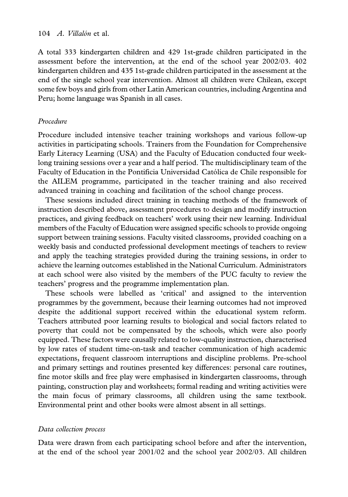#### 104 A. Villalón et al.

A total 333 kindergarten children and 429 1st-grade children participated in the assessment before the intervention, at the end of the school year 2002/03. 402 kindergarten children and 435 1st-grade children participated in the assessment at the end of the single school year intervention. Almost all children were Chilean, except some few boys and girls from other Latin American countries, including Argentina and Peru; home language was Spanish in all cases.

#### Procedure

Procedure included intensive teacher training workshops and various follow-up activities in participating schools. Trainers from the Foundation for Comprehensive Early Literacy Learning (USA) and the Faculty of Education conducted four weeklong training sessions over a year and a half period. The multidisciplinary team of the Faculty of Education in the Pontificia Universidad Católica de Chile responsible for the AILEM programme, participated in the teacher training and also received advanced training in coaching and facilitation of the school change process.

These sessions included direct training in teaching methods of the framework of instruction described above, assessment procedures to design and modify instruction practices, and giving feedback on teachers' work using their new learning. Individual members of the Faculty of Education were assigned specific schools to provide ongoing support between training sessions. Faculty visited classrooms, provided coaching on a weekly basis and conducted professional development meetings of teachers to review and apply the teaching strategies provided during the training sessions, in order to achieve the learning outcomes established in the National Curriculum. Administrators at each school were also visited by the members of the PUC faculty to review the teachers' progress and the programme implementation plan.

These schools were labelled as 'critical' and assigned to the intervention programmes by the government, because their learning outcomes had not improved despite the additional support received within the educational system reform. Teachers attributed poor learning results to biological and social factors related to poverty that could not be compensated by the schools, which were also poorly equipped. These factors were causally related to low-quality instruction, characterised by low rates of student time-on-task and teacher communication of high academic expectations, frequent classroom interruptions and discipline problems. Pre-school and primary settings and routines presented key differences: personal care routines, fine motor skills and free play were emphasised in kindergarten classrooms, through painting, construction play and worksheets; formal reading and writing activities were the main focus of primary classrooms, all children using the same textbook. Environmental print and other books were almost absent in all settings.

#### Data collection process

Data were drawn from each participating school before and after the intervention, at the end of the school year 2001/02 and the school year 2002/03. All children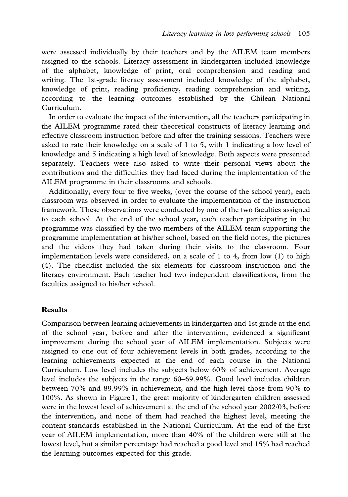were assessed individually by their teachers and by the AILEM team members assigned to the schools. Literacy assessment in kindergarten included knowledge of the alphabet, knowledge of print, oral comprehension and reading and writing. The 1st-grade literacy assessment included knowledge of the alphabet, knowledge of print, reading proficiency, reading comprehension and writing, according to the learning outcomes established by the Chilean National Curriculum.

In order to evaluate the impact of the intervention, all the teachers participating in the AILEM programme rated their theoretical constructs of literacy learning and effective classroom instruction before and after the training sessions. Teachers were asked to rate their knowledge on a scale of 1 to 5, with 1 indicating a low level of knowledge and 5 indicating a high level of knowledge. Both aspects were presented separately. Teachers were also asked to write their personal views about the contributions and the difficulties they had faced during the implementation of the AILEM programme in their classrooms and schools.

Additionally, every four to five weeks, (over the course of the school year), each classroom was observed in order to evaluate the implementation of the instruction framework. These observations were conducted by one of the two faculties assigned to each school. At the end of the school year, each teacher participating in the programme was classified by the two members of the AILEM team supporting the programme implementation at his/her school, based on the field notes, the pictures and the videos they had taken during their visits to the classroom. Four implementation levels were considered, on a scale of 1 to 4, from low (1) to high (4). The checklist included the six elements for classroom instruction and the literacy environment. Each teacher had two independent classifications, from the faculties assigned to his/her school.

#### Results

Comparison between learning achievements in kindergarten and 1st grade at the end of the school year, before and after the intervention, evidenced a significant improvement during the school year of AILEM implementation. Subjects were assigned to one out of four achievement levels in both grades, according to the learning achievements expected at the end of each course in the National Curriculum. Low level includes the subjects below 60% of achievement. Average level includes the subjects in the range 60–69.99%. Good level includes children between 70% and 89.99% in achievement, and the high level those from 90% to 100%. As shown in Figure 1, the great majority of kindergarten children assessed were in the lowest level of achievement at the end of the school year 2002/03, before the intervention, and none of them had reached the highest level, meeting the content standards established in the National Curriculum. At the end of the first year of AILEM implementation, more than 40% of the children were still at the lowest level, but a similar percentage had reached a good level and 15% had reached the learning outcomes expected for this grade.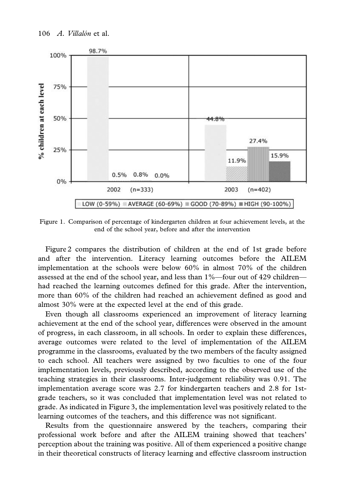

Figure 1. Comparison of percentage of kindergarten children at four achievement levels, at the end of the school year, before and after the intervention

Figure 2 compares the distribution of children at the end of 1st grade before and after the intervention. Literacy learning outcomes before the AILEM implementation at the schools were below 60% in almost 70% of the children assessed at the end of the school year, and less than 1%—four out of 429 children had reached the learning outcomes defined for this grade. After the intervention, more than 60% of the children had reached an achievement defined as good and almost 30% were at the expected level at the end of this grade.

Even though all classrooms experienced an improvement of literacy learning achievement at the end of the school year, differences were observed in the amount of progress, in each classroom, in all schools. In order to explain these differences, average outcomes were related to the level of implementation of the AILEM programme in the classrooms, evaluated by the two members of the faculty assigned to each school. All teachers were assigned by two faculties to one of the four implementation levels, previously described, according to the observed use of the teaching strategies in their classrooms. Inter-judgement reliability was 0.91. The implementation average score was 2.7 for kindergarten teachers and 2.8 for 1stgrade teachers, so it was concluded that implementation level was not related to grade. As indicated in Figure 3, the implementation level was positively related to the learning outcomes of the teachers, and this difference was not significant.

Results from the questionnaire answered by the teachers, comparing their professional work before and after the AILEM training showed that teachers' perception about the training was positive. All of them experienced a positive change in their theoretical constructs of literacy learning and effective classroom instruction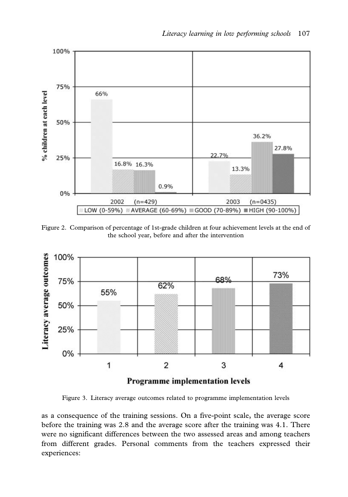

Figure 2. Comparison of percentage of 1st-grade children at four achievement levels at the end of the school year, before and after the intervention



Figure 3. Literacy average outcomes related to programme implementation levels

as a consequence of the training sessions. On a five-point scale, the average score before the training was 2.8 and the average score after the training was 4.1. There were no significant differences between the two assessed areas and among teachers from different grades. Personal comments from the teachers expressed their experiences: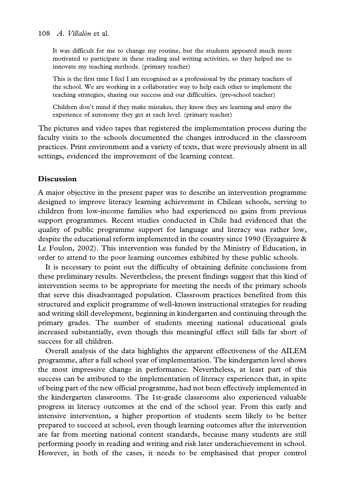It was difficult for me to change my routine, but the students appeared much more motivated to participate in these reading and writing activities, so they helped me to innovate my teaching methods. (primary teacher)

This is the first time I feel I am recognised as a professional by the primary teachers of the school. We are working in a collaborative way to help each other to implement the teaching strategies, sharing our success and our difficulties. (pre-school teacher)

Children don't mind if they make mistakes, they know they are learning and enjoy the experience of autonomy they get at each level. (primary teacher)

The pictures and video tapes that registered the implementation process during the faculty visits to the schools documented the changes introduced in the classroom practices. Print environment and a variety of texts, that were previously absent in all settings, evidenced the improvement of the learning context.

#### Discussion

A major objective in the present paper was to describe an intervention programme designed to improve literacy learning achievement in Chilean schools, serving to children from low-income families who had experienced no gains from previous support programmes. Recent studies conducted in Chile had evidenced that the quality of public programme support for language and literacy was rather low, despite the educational reform implemented in the country since 1990 (Eyzaguirre & Le Foulon, 2002). This intervention was funded by the Ministry of Education, in order to attend to the poor learning outcomes exhibited by these public schools.

It is necessary to point out the difficulty of obtaining definite conclusions from these preliminary results. Nevertheless, the present findings suggest that this kind of intervention seems to be appropriate for meeting the needs of the primary schools that serve this disadvantaged population. Classroom practices benefited from this structured and explicit programme of well-known instructional strategies for reading and writing skill development, beginning in kindergarten and continuing through the primary grades. The number of students meeting national educational goals increased substantially, even though this meaningful effect still falls far short of success for all children.

Overall analysis of the data highlights the apparent effectiveness of the AILEM programme, after a full school year of implementation. The kindergarten level shows the most impressive change in performance. Nevertheless, at least part of this success can be atributed to the implementation of literacy experiences that, in spite of being part of the new official programme, had not been effectively implemented in the kindergarten classrooms. The 1st-grade classrooms also experienced valuable progress in literacy outcomes at the end of the school year. From this early and intensive intervention, a higher proportion of students seem likely to be better prepared to succeed at school, even though learning outcomes after the intervention are far from meeting national content standards, because many students are still performing poorly in reading and writing and risk later underachievement in school. However, in both of the cases, it needs to be emphasised that proper control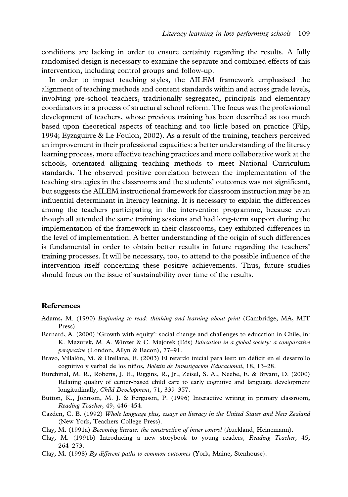conditions are lacking in order to ensure certainty regarding the results. A fully randomised design is necessary to examine the separate and combined effects of this intervention, including control groups and follow-up.

In order to impact teaching styles, the AILEM framework emphasised the alignment of teaching methods and content standards within and across grade levels, involving pre-school teachers, traditionally segregated, principals and elementary coordinators in a process of structural school reform. The focus was the professional development of teachers, whose previous training has been described as too much based upon theoretical aspects of teaching and too little based on practice (Filp, 1994; Eyzaguirre & Le Foulon, 2002). As a result of the training, teachers perceived an improvement in their professional capacities: a better understanding of the literacy learning process, more effective teaching practices and more collaborative work at the schools, orientated alligning teaching methods to meet National Curriculum standards. The observed positive correlation between the implementation of the teaching strategies in the classrooms and the students' outcomes was not significant, but suggests the AILEM instructional framework for classroom instruction may be an influential determinant in literacy learning. It is necessary to explain the differences among the teachers participating in the intervention programme, because even though all attended the same training sessions and had long-term support during the implementation of the framework in their classrooms, they exhibited differences in the level of implementation. A better understanding of the origin of such differences is fundamental in order to obtain better results in future regarding the teachers' training processes. It will be necessary, too, to attend to the possible influence of the intervention itself concerning these positive achievements. Thus, future studies should focus on the issue of sustainability over time of the results.

#### References

- Adams, M. (1990) Beginning to read: thinking and learning about print (Cambridge, MA, MIT Press).
- Barnard, A. (2000) 'Growth with equity': social change and challenges to education in Chile, in: K. Mazurek, M. A. Winzer & C. Majorek (Eds) Education in a global society: a comparative perspective (London, Allyn & Bacon), 77–91.
- Bravo, Villalón, M. & Orellana, E. (2003) El retardo inicial para leer: un déficit en el desarrollo cognitivo y verbal de los niños, Boletín de Investigación Educacional, 18, 13-28.
- Burchinal, M. R., Roberts, J. E., Riggins, R., Jr., Zeisel, S. A., Neebe, E. & Bryant, D. (2000) Relating quality of center-based child care to early cognitive and language development longitudinally, Child Development, 71, 339–357.
- Button, K., Johnson, M. J. & Ferguson, P. (1996) Interactive writing in primary classroom, Reading Teacher, 49, 446–454.
- Cazden, C. B. (1992) Whole language plus, essays on literacy in the United States and New Zealand (New York, Teachers College Press).
- Clay, M. (1991a) Becoming literate: the construction of inner control (Auckland, Heinemann).
- Clay, M. (1991b) Introducing a new storybook to young readers, Reading Teacher, 45, 264–273.
- Clay, M. (1998) By different paths to common outcomes (York, Maine, Stenhouse).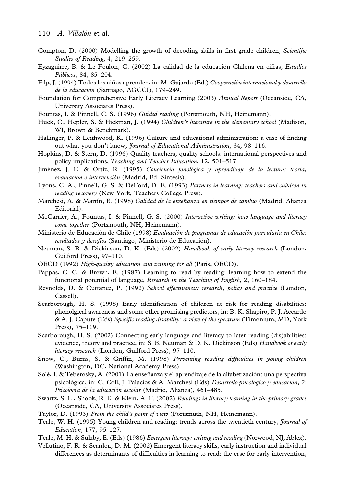- Compton, D. (2000) Modelling the growth of decoding skills in first grade children, Scientific Studies of Reading, 4, 219–259.
- Eyzaguirre, B. & Le Foulon, C. (2002) La calidad de la educación Chilena en cifras, Estudios Públicos, 84, 85-204.
- Filp, J. (1994) Todos los niños aprenden, in: M. Gajardo (Ed.) Cooperación internacional y desarrollo de la educación (Santiago, AGCCI), 179–249.
- Foundation for Comprehensive Early Literacy Learning (2003) Annual Report (Oceanside, CA, University Associates Press).
- Fountas, I. & Pinnell, C. S. (1996) Guided reading (Portsmouth, NH, Heinemann).
- Huck, C., Hepler, S. & Hickman, J. (1994) Children's literature in the elementary school (Madison, WI, Brown & Benchmark).
- Hallinger, P. & Leithwood, K. (1996) Culture and educational administration: a case of finding out what you don't know, *Journal of Educational Administration*, 34, 98-116.
- Hopkins, D. & Stern, D. (1996) Quality teachers, quality schools: international perspectives and policy implications, Teaching and Teacher Education, 12, 501–517.
- Jiménez, J. E. & Ortiz, R. (1995) Conciencia fonológica y aprendizaje de la lectura: teoría, evaluación e intervención (Madrid, Ed. Síntesis).
- Lyons, C. A., Pinnell, G. S. & DeFord, D. E. (1993) Partners in learning: teachers and children in reading recovery (New York, Teachers College Press).
- Marchesi, A. & Martín, E. (1998) Calidad de la enseñanza en tiempos de cambio (Madrid, Alianza Editorial).
- McCarrier, A., Fountas, I. & Pinnell, G. S. (2000) Interactive writing: how language and literacy come together (Portsmouth, NH, Heinemann).
- Ministerio de Educación de Chile (1998) Evaluación de programas de educación parvularia en Chile: resultados y desafíos (Santiago, Ministerio de Educación).
- Neuman, S. B. & Dickinson, D. K. (Eds) (2002) Handbook of early literacy research (London, Guilford Press), 97–110.
- OECD (1992) High-quality education and training for all (Paris, OECD).
- Pappas, C. C. & Brown, E. (1987) Learning to read by reading: learning how to extend the functional potential of language, Research in the Teaching of English, 2, 160–184.
- Reynolds, D. & Cuttance, P. (1992) School effectiveness: research, policy and practice (London, Cassell).
- Scarborough, H. S. (1998) Early identification of children at risk for reading disabilities: phonolgical awareness and some other promising predictors, in: B. K. Shapiro, P. J. Accardo & A. J. Capute (Eds) Specific reading disability: a view of the spectrum (Timonium, MD, York Press), 75–119.
- Scarborough, H. S. (2002) Connecting early language and literacy to later reading (dis)abilities: evidence, theory and practice, in: S. B. Neuman & D. K. Dickinson (Eds) Handbook of early literacy research (London, Guilford Press), 97–110.
- Snow, C., Burns, S. & Griffin, M. (1998) Preventing reading difficulties in young children (Washington, DC, National Academy Press).
- Solé, I. & Teberosky, A. (2001) La enseñanza y el aprendizaje de la alfabetización: una perspectiva psicológica, in: C. Coll, J. Palacios & A. Marchesi (Eds) Desarrollo psicológico y educación, 2: Psicología de la educación escolar (Madrid, Alianza), 461-485.
- Swartz, S. L., Shook, R. E. & Klein, A. F. (2002) Readings in literacy learning in the primary grades (Oceanside, CA, University Associates Press).
- Taylor, D. (1993) From the child's point of view (Portsmuth, NH, Heinemann).
- Teale, W. H. (1995) Young children and reading: trends across the twentieth century, *Journal of* Education, 177, 95–127.
- Teale, M. H. & Sulzby, E. (Eds) (1986) Emergent literacy: writing and reading (Norwood, NJ, Ablex).
- Vellutino, F. R. & Scanlon, D. M. (2002) Emergent literacy skills, early instruction and individual differences as determinants of difficulties in learning to read: the case for early intervention,